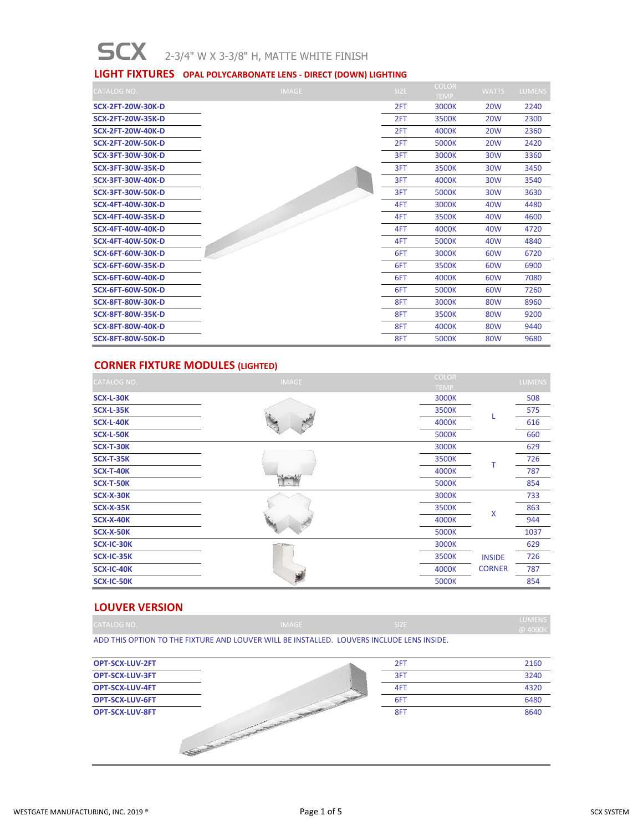# SCX 2-3/4" W X 3-3/8" H, MATTE WHITE FINISH

#### **LIGHT FIXTURES OPAL POLYCARBONATE LENS - DIRECT (DOWN) LIGHTING**

| <b>CATALOG NO.</b>       | <b>IMAGE</b> | SIZE | <b>COLOR</b> | <b>WATTS</b> | <b>LUMENS</b> |
|--------------------------|--------------|------|--------------|--------------|---------------|
|                          |              |      | TEMP.        |              |               |
| <b>SCX-2FT-20W-30K-D</b> |              | 2FT  | 3000K        | <b>20W</b>   | 2240          |
| <b>SCX-2FT-20W-35K-D</b> |              | 2FT  | 3500K        | <b>20W</b>   | 2300          |
| <b>SCX-2FT-20W-40K-D</b> |              | 2FT  | 4000K        | <b>20W</b>   | 2360          |
| <b>SCX-2FT-20W-50K-D</b> |              | 2FT  | 5000K        | <b>20W</b>   | 2420          |
| <b>SCX-3FT-30W-30K-D</b> |              | 3FT  | 3000K        | 30W          | 3360          |
| <b>SCX-3FT-30W-35K-D</b> |              | 3FT  | 3500K        | 30W          | 3450          |
| <b>SCX-3FT-30W-40K-D</b> |              | 3FT  | 4000K        | 30W          | 3540          |
| <b>SCX-3FT-30W-50K-D</b> |              | 3FT  | 5000K        | <b>30W</b>   | 3630          |
| <b>SCX-4FT-40W-30K-D</b> |              | 4FT  | 3000K        | 40W          | 4480          |
| <b>SCX-4FT-40W-35K-D</b> |              | 4FT  | 3500K        | 40W          | 4600          |
| <b>SCX-4FT-40W-40K-D</b> |              | 4FT  | 4000K        | 40W          | 4720          |
| <b>SCX-4FT-40W-50K-D</b> |              | 4FT  | 5000K        | 40W          | 4840          |
| <b>SCX-6FT-60W-30K-D</b> |              | 6FT  | 3000K        | 60W          | 6720          |
| <b>SCX-6FT-60W-35K-D</b> |              | 6FT  | 3500K        | 60W          | 6900          |
| <b>SCX-6FT-60W-40K-D</b> |              | 6FT  | 4000K        | 60W          | 7080          |
| <b>SCX-6FT-60W-50K-D</b> |              | 6FT  | 5000K        | 60W          | 7260          |
| <b>SCX-8FT-80W-30K-D</b> |              | 8FT  | 3000K        | 80W          | 8960          |
| <b>SCX-8FT-80W-35K-D</b> |              | 8FT  | 3500K        | 80W          | 9200          |
| <b>SCX-8FT-80W-40K-D</b> |              | 8FT  | 4000K        | 80W          | 9440          |
| <b>SCX-8FT-80W-50K-D</b> |              | 8FT  | 5000K        | 80W          | 9680          |

# **CORNER FIXTURE MODULES (LIGHTED)**

| <b>CATALOG NO.</b> | <b>IMAGE</b>             | <b>COLOR</b>   |               | <b>LUMENS</b> |
|--------------------|--------------------------|----------------|---------------|---------------|
| SCX-L-30K          |                          | TEMP.<br>3000K |               | 508           |
| <b>SCX-L-35K</b>   |                          | 3500K          |               | 575           |
| SCX-L-40K          |                          | 4000K          |               | 616           |
| SCX-L-50K          |                          | 5000K          |               | 660           |
| SCX-T-30K          |                          | 3000K          |               | 629           |
| <b>SCX-T-35K</b>   | New                      | 3500K          |               | 726           |
| <b>SCX-T-40K</b>   |                          | 4000K          |               | 787           |
| SCX-T-50K          |                          | 5000K          |               | 854           |
| SCX-X-30K          |                          | 3000K          |               | 733           |
| <b>SCX-X-35K</b>   |                          | 3500K          | Χ             | 863           |
| <b>SCX-X-40K</b>   |                          | 4000K          |               | 944           |
| SCX-X-50K          |                          | 5000K          |               | 1037          |
| SCX-IC-30K         | $\overline{a}$ , However | 3000K          |               | 629           |
| SCX-IC-35K         |                          | 3500K          | <b>INSIDE</b> | 726           |
| SCX-IC-40K         |                          | 4000K          | <b>CORNER</b> | 787           |
| SCX-IC-50K         |                          | 5000K          |               | 854           |

#### **LOUVER VERSION**

| CATALOG NO.                                                                               | <b>IMAGE</b> | \ SIZE | LUMENS <b>N</b><br>@ 4000K |
|-------------------------------------------------------------------------------------------|--------------|--------|----------------------------|
| ADD THIS OPTION TO THE FIXTURE AND LOUVER WILL BE INSTALLED. LOUVERS INCLUDE LENS INSIDE. |              |        |                            |

| <b>OPT-SCX-LUV-2FT</b> |                                                                                       | 2FT | 2160 |
|------------------------|---------------------------------------------------------------------------------------|-----|------|
| <b>OPT-SCX-LUV-3FT</b> |                                                                                       | 3FT | 3240 |
| OPT-SCX-LUV-4FT        |                                                                                       | 4FT | 4320 |
| <b>OPT-SCX-LUV-6FT</b> |                                                                                       | 6FT | 6480 |
| <b>OPT-SCX-LUV-8FT</b> | the property of the local division in the<br>No. of Concession, Name of Son, or other | 8FT | 8640 |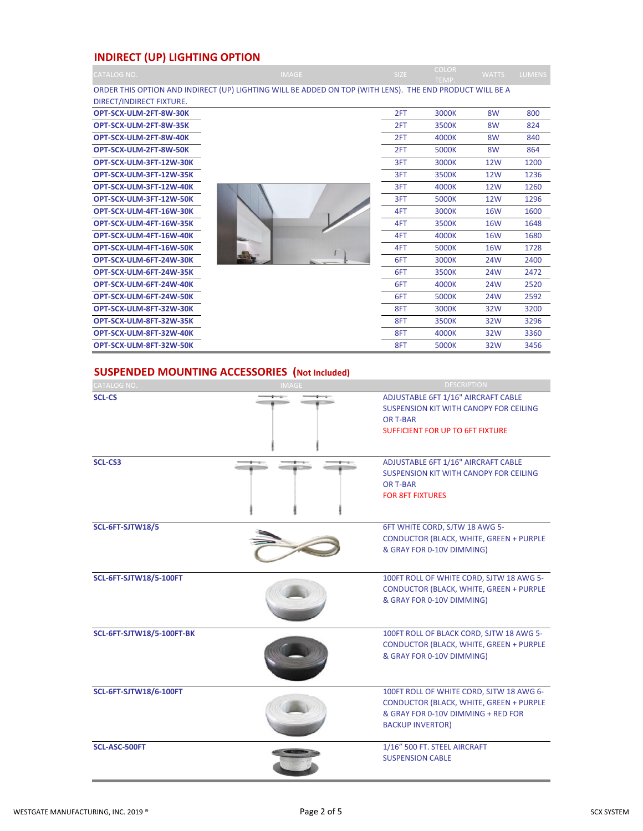# **INDIRECT (UP) LIGHTING OPTION**

| <b>CATALOG NO.</b>       | <b>IMAGE</b>                                                                                             | SIZE | <b>COLOR</b><br>TEMP. | <b>WATTS</b>   | <b>LUMENS</b> |
|--------------------------|----------------------------------------------------------------------------------------------------------|------|-----------------------|----------------|---------------|
|                          | ORDER THIS OPTION AND INDIRECT (UP) LIGHTING WILL BE ADDED ON TOP (WITH LENS). THE END PRODUCT WILL BE A |      |                       |                |               |
| DIRECT/INDIRECT FIXTURE. |                                                                                                          |      |                       |                |               |
| OPT-SCX-ULM-2FT-8W-30K   |                                                                                                          | 2FT  | 3000K                 | 8 <sub>W</sub> | 800           |
| OPT-SCX-ULM-2FT-8W-35K   |                                                                                                          | 2FT  | 3500K                 | 8W             | 824           |
| OPT-SCX-ULM-2FT-8W-40K   |                                                                                                          | 2FT  | 4000K                 | 8W             | 840           |
| OPT-SCX-ULM-2FT-8W-50K   |                                                                                                          | 2FT  | 5000K                 | 8W             | 864           |
| OPT-SCX-ULM-3FT-12W-30K  |                                                                                                          | 3FT  | 3000K                 | <b>12W</b>     | 1200          |
| OPT-SCX-ULM-3FT-12W-35K  |                                                                                                          | 3FT  | 3500K                 | <b>12W</b>     | 1236          |
| OPT-SCX-ULM-3FT-12W-40K  |                                                                                                          | 3FT  | 4000K                 | 12W            | 1260          |
| OPT-SCX-ULM-3FT-12W-50K  |                                                                                                          | 3FT  | 5000K                 | <b>12W</b>     | 1296          |
| OPT-SCX-ULM-4FT-16W-30K  |                                                                                                          | 4FT  | 3000K                 | <b>16W</b>     | 1600          |
| OPT-SCX-ULM-4FT-16W-35K  |                                                                                                          | 4FT  | 3500K                 | <b>16W</b>     | 1648          |
| OPT-SCX-ULM-4FT-16W-40K  |                                                                                                          | 4FT  | 4000K                 | <b>16W</b>     | 1680          |
| OPT-SCX-ULM-4FT-16W-50K  |                                                                                                          | 4FT  | 5000K                 | <b>16W</b>     | 1728          |
| OPT-SCX-ULM-6FT-24W-30K  |                                                                                                          | 6FT  | 3000K                 | 24W            | 2400          |
| OPT-SCX-ULM-6FT-24W-35K  |                                                                                                          | 6FT  | 3500K                 | 24W            | 2472          |
| OPT-SCX-ULM-6FT-24W-40K  |                                                                                                          | 6FT  | 4000K                 | 24W            | 2520          |
| OPT-SCX-ULM-6FT-24W-50K  |                                                                                                          | 6FT  | 5000K                 | 24W            | 2592          |
| OPT-SCX-ULM-8FT-32W-30K  |                                                                                                          | 8FT  | 3000K                 | 32W            | 3200          |
| OPT-SCX-ULM-8FT-32W-35K  |                                                                                                          | 8FT  | 3500K                 | 32W            | 3296          |
| OPT-SCX-ULM-8FT-32W-40K  |                                                                                                          | 8FT  | 4000K                 | 32W            | 3360          |
| OPT-SCX-ULM-8FT-32W-50K  |                                                                                                          | 8FT  | 5000K                 | 32W            | 3456          |

# **SUSPENDED MOUNTING ACCESSORIES (Not Included)**

| CATALOG NO.                      | <b>IMAGE</b> | <b>DESCRIPTION</b>                                                                                                                                          |
|----------------------------------|--------------|-------------------------------------------------------------------------------------------------------------------------------------------------------------|
| <b>SCL-CS</b>                    |              | ADJUSTABLE 6FT 1/16" AIRCRAFT CABLE<br>SUSPENSION KIT WITH CANOPY FOR CEILING<br>OR T-BAR<br><b>SUFFICIENT FOR UP TO 6FT FIXTURE</b>                        |
| <b>SCL-CS3</b>                   |              | ADJUSTABLE 6FT 1/16" AIRCRAFT CABLE<br>SUSPENSION KIT WITH CANOPY FOR CEILING<br><b>OR T-BAR</b><br><b>FOR 8FT FIXTURES</b>                                 |
| SCL-6FT-SJTW18/5                 |              | 6FT WHITE CORD, SJTW 18 AWG 5-<br><b>CONDUCTOR (BLACK, WHITE, GREEN + PURPLE</b><br>& GRAY FOR 0-10V DIMMING)                                               |
| <b>SCL-6FT-SJTW18/5-100FT</b>    |              | 100FT ROLL OF WHITE CORD, SJTW 18 AWG 5-<br><b>CONDUCTOR (BLACK, WHITE, GREEN + PURPLE</b><br>& GRAY FOR 0-10V DIMMING)                                     |
| <b>SCL-6FT-SJTW18/5-100FT-BK</b> |              | 100FT ROLL OF BLACK CORD, SJTW 18 AWG 5-<br><b>CONDUCTOR (BLACK, WHITE, GREEN + PURPLE</b><br>& GRAY FOR 0-10V DIMMING)                                     |
| <b>SCL-6FT-SJTW18/6-100FT</b>    |              | 100FT ROLL OF WHITE CORD, SJTW 18 AWG 6-<br><b>CONDUCTOR (BLACK, WHITE, GREEN + PURPLE</b><br>& GRAY FOR 0-10V DIMMING + RED FOR<br><b>BACKUP INVERTOR)</b> |
| SCL-ASC-500FT                    |              | 1/16" 500 FT. STEEL AIRCRAFT<br><b>SUSPENSION CABLE</b>                                                                                                     |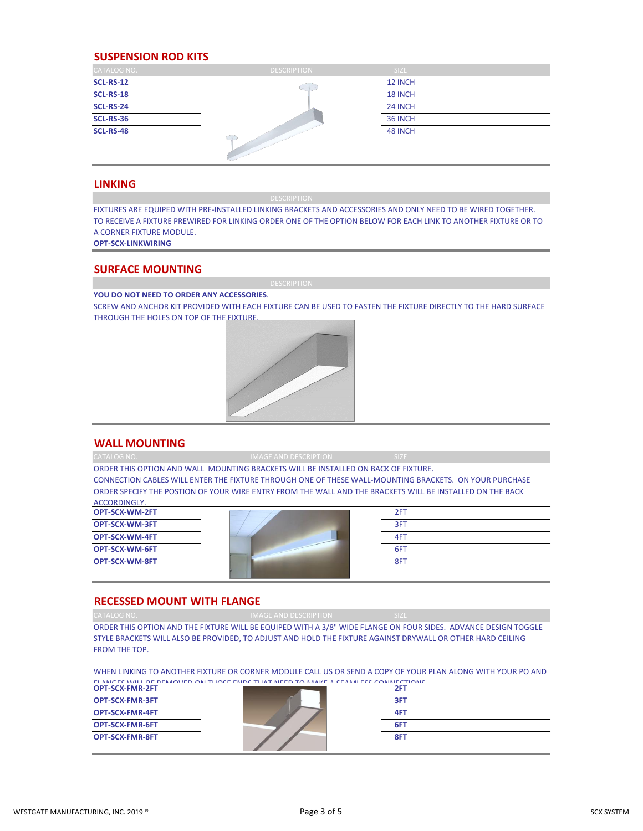#### **SUSPENSION ROD KITS**

| <b>CATALOG NO.</b> | <b>DESCRIPTION</b> | SIZE    |  |
|--------------------|--------------------|---------|--|
| <b>SCL-RS-12</b>   | $-1$               | 12 INCH |  |
| <b>SCL-RS-18</b>   |                    | 18 INCH |  |
| <b>SCL-RS-24</b>   |                    | 24 INCH |  |
| <b>SCL-RS-36</b>   |                    | 36 INCH |  |
| <b>SCL-RS-48</b>   | $C + 3$            | 48 INCH |  |

#### **LINKING**

FIXTURES ARE EQUIPED WITH PRE-INSTALLED LINKING BRACKETS AND ACCESSORIES AND ONLY NEED TO BE WIRED TOGETHER. TO RECEIVE A FIXTURE PREWIRED FOR LINKING ORDER ONE OF THE OPTION BELOW FOR EACH LINK TO ANOTHER FIXTURE OR TO A CORNER FIXTURE MODULE.

**OPT-SCX-LINKWIRING**

#### **SURFACE MOUNTING**

**YOU DO NOT NEED TO ORDER ANY ACCESSORIES**.

SCREW AND ANCHOR KIT PROVIDED WITH EACH FIXTURE CAN BE USED TO FASTEN THE FIXTURE DIRECTLY TO THE HARD SURFACE THROUGH THE HOLES ON TOP OF THE FIXTURE.



#### **WALL MOUNTING**

| CATALOG NO.           | <b>IMAGE AND DESCRIPTION</b>                                                       | SIZE:                                                                                                     |  |
|-----------------------|------------------------------------------------------------------------------------|-----------------------------------------------------------------------------------------------------------|--|
|                       | ORDER THIS OPTION AND WALL MOUNTING BRACKETS WILL BE INSTALLED ON BACK OF FIXTURE. |                                                                                                           |  |
|                       |                                                                                    | CONNECTION CABLES WILL ENTER THE FIXTURE THROUGH ONE OF THESE WALL-MOUNTING BRACKETS. ON YOUR PURCHASE    |  |
|                       |                                                                                    | ORDER SPECIFY THE POSTION OF YOUR WIRE ENTRY FROM THE WALL AND THE BRACKETS WILL BE INSTALLED ON THE BACK |  |
| ACCORDINGLY.          |                                                                                    |                                                                                                           |  |
| <b>OPT-SCX-WM-2FT</b> |                                                                                    | 2FT                                                                                                       |  |
| <b>OPT-SCX-WM-3FT</b> |                                                                                    | 3FT                                                                                                       |  |
| OPT-SCX-WM-4FT        |                                                                                    | 4FT                                                                                                       |  |
| <b>OPT-SCX-WM-6FT</b> |                                                                                    | 6FT                                                                                                       |  |
| <b>OPT-SCX-WM-8FT</b> |                                                                                    | 8FT                                                                                                       |  |

#### **RECESSED MOUNT WITH FLANGE**

ORDER THIS OPTION AND THE FIXTURE WILL BE EQUIPED WITH A 3/8" WIDE FLANGE ON FOUR SIDES. ADVANCE DESIGN TOGGLE STYLE BRACKETS WILL ALSO BE PROVIDED, TO ADJUST AND HOLD THE FIXTURE AGAINST DRYWALL OR OTHER HARD CEILING FROM THE TOP.

WHEN LINKING TO ANOTHER FIXTURE OR CORNER MODULE CALL US OR SEND A COPY OF YOUR PLAN ALONG WITH YOUR PO AND

|                        | <b>ELANCEC WILL BE BEMOVED ON THOSE ENDS THAT NEED TO MANS A SEAMALESS COMMESTIONS</b> |     |  |
|------------------------|----------------------------------------------------------------------------------------|-----|--|
| <b>OPT-SCX-FMR-2FT</b> |                                                                                        | 2FT |  |
| <b>OPT-SCX-FMR-3FT</b> |                                                                                        | 3FT |  |
| <b>OPT-SCX-FMR-4FT</b> |                                                                                        | 4FT |  |
| <b>OPT-SCX-FMR-6FT</b> |                                                                                        | 6FT |  |
| <b>OPT-SCX-FMR-8FT</b> |                                                                                        | 8FT |  |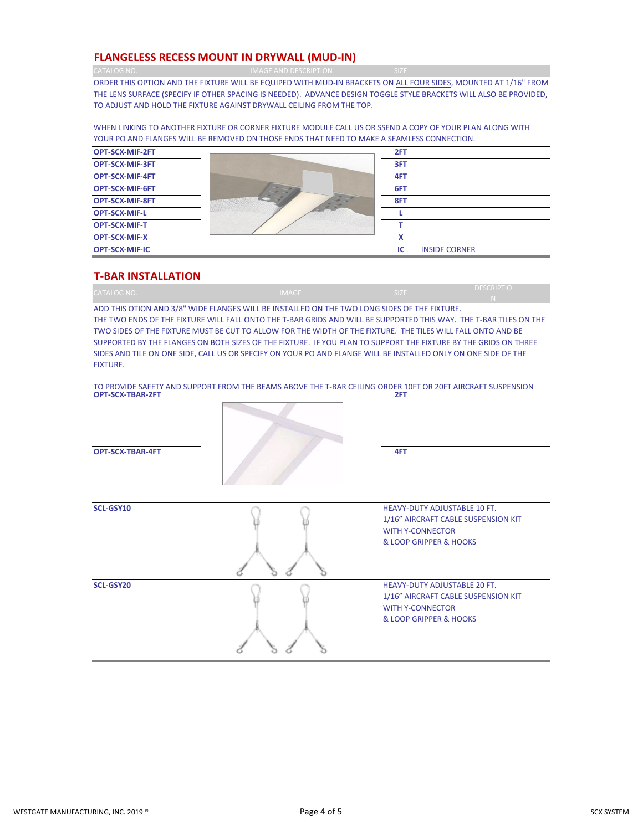#### **FLANGELESS RECESS MOUNT IN DRYWALL (MUD-IN)**

CATALOG NO. **IMAGE AND DESCRIPTION** 

ORDER THIS OPTION AND THE FIXTURE WILL BE EQUIPED WITH MUD-IN BRACKETS ON ALL FOUR SIDES, MOUNTED AT 1/16" FROM THE LENS SURFACE (SPECIFY IF OTHER SPACING IS NEEDED). ADVANCE DESIGN TOGGLE STYLE BRACKETS WILL ALSO BE PROVIDED, TO ADJUST AND HOLD THE FIXTURE AGAINST DRYWALL CEILING FROM THE TOP.

WHEN LINKING TO ANOTHER FIXTURE OR CORNER FIXTURE MODULE CALL US OR SSEND A COPY OF YOUR PLAN ALONG WITH YOUR PO AND FLANGES WILL BE REMOVED ON THOSE ENDS THAT NEED TO MAKE A SEAMLESS CONNECTION.



#### **T-BAR INSTALLATION**

|             |              | <b>STERN START</b> | <b>DESCRIPTIO</b> |
|-------------|--------------|--------------------|-------------------|
| CATALOG NO. | <b>IMAGE</b> | ,,,,,,             |                   |

ADD THIS OTION AND 3/8" WIDE FLANGES WILL BE INSTALLED ON THE TWO LONG SIDES OF THE FIXTURE. THE TWO ENDS OF THE FIXTURE WILL FALL ONTO THE T-BAR GRIDS AND WILL BE SUPPORTED THIS WAY. THE T-BAR TILES ON THE TWO SIDES OF THE FIXTURE MUST BE CUT TO ALLOW FOR THE WIDTH OF THE FIXTURE. THE TILES WILL FALL ONTO AND BE SUPPORTED BY THE FLANGES ON BOTH SIZES OF THE FIXTURE. IF YOU PLAN TO SUPPORT THE FIXTURE BY THE GRIDS ON THREE SIDES AND TILE ON ONE SIDE, CALL US OR SPECIFY ON YOUR PO AND FLANGE WILL BE INSTALLED ONLY ON ONE SIDE OF THE FIXTURE.

**OPT-SCX-TBAR-2FT 2FT** TO PROVIDE SAFETY AND SUPPORT FROM THE BEAMS ABOVE THE T-BAR CEILING ORDER 10FT OR 20FT AIRCRAFT SUSPENSION